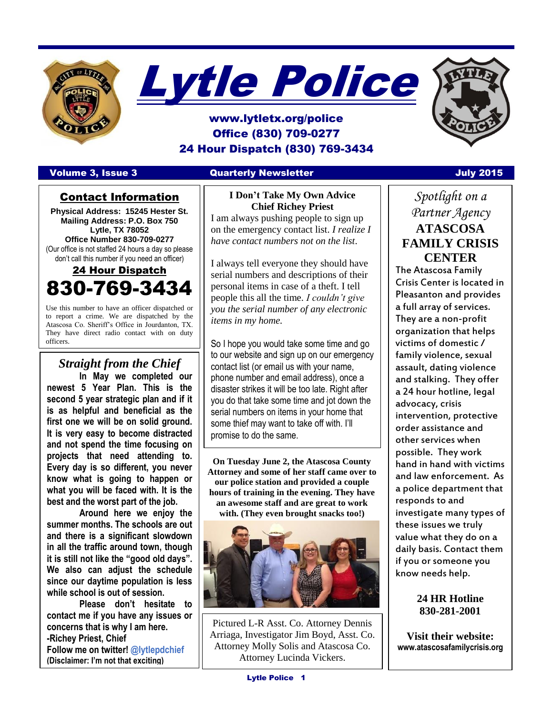



# www.lytletx.org/police Office (830) 709-0277 24 Hour Dispatch (830) 769-3434

#### Volume 3, Issue 3 Quarterly Newsletter July 2015

### Contact Information

**Physical Address: 15245 Hester St. Mailing Address: P.O. Box 750 Lytle, TX 78052 Office Number 830-709-0277** (Our office is not staffed 24 hours a day so please don't call this number if you need an officer)

# 24 Hour Dispatch 830-769-3434

Use this number to have an officer dispatched or to report a crime. We are dispatched by the Atascosa Co. Sheriff's Office in Jourdanton, TX. They have direct radio contact with on duty officers.

## *Straight from the Chief*

**In May we completed our newest 5 Year Plan. This is the second 5 year strategic plan and if it is as helpful and beneficial as the first one we will be on solid ground. It is very easy to become distracted and not spend the time focusing on projects that need attending to. Every day is so different, you never know what is going to happen or what you will be faced with. It is the best and the worst part of the job.** 

I

**Around here we enjoy the summer months. The schools are out and there is a significant slowdown in all the traffic around town, though it is still not like the "good old days". We also can adjust the schedule since our daytime population is less while school is out of session.** 

**Please don't hesitate to contact me if you have any issues or concerns that is why I am here. -Richey Priest, Chief Follow me on twitter! @lytlepdchief (Disclaimer: I'm not that exciting)**

#### **I Don't Take My Own Advice Chief Richey Priest**

I am always pushing people to sign up on the emergency contact list. *I realize I have contact numbers not on the list*.

I always tell everyone they should have serial numbers and descriptions of their personal items in case of a theft. I tell people this all the time. *I couldn't give you the serial number of any electronic items in my home.*

So I hope you would take some time and go to our website and sign up on our emergency contact list (or email us with your name, phone number and email address), once a disaster strikes it will be too late. Right after you do that take some time and jot down the serial numbers on items in your home that some thief may want to take off with. I'll promise to do the same.

**On Tuesday June 2, the Atascosa County Attorney and some of her staff came over to our police station and provided a couple hours of training in the evening. They have an awesome staff and are great to work with. (They even brought snacks too!)** 



Pictured L-R Asst. Co. Attorney Dennis Arriaga, Investigator Jim Boyd, Asst. Co. Attorney Molly Solis and Atascosa Co. Attorney Lucinda Vickers.

*Spotlight on a Partner Agency* **ATASCOSA FAMILY CRISIS CENTER**

The Atascosa Family Crisis Center is located in Pleasanton and provides a full array of services. They are a non-profit organization that helps victims of domestic / family violence, sexual assault, dating violence and stalking. They offer a 24 hour hotline, legal advocacy, crisis intervention, protective order assistance and other services when possible. They work hand in hand with victims and law enforcement. As a police department that responds to and investigate many types of these issues we truly value what they do on a daily basis. Contact them if you or someone you know needs help.

#### **24 HR Hotline 830-281-2001**

**Visit their website: www.atascosafamilycrisis.org**